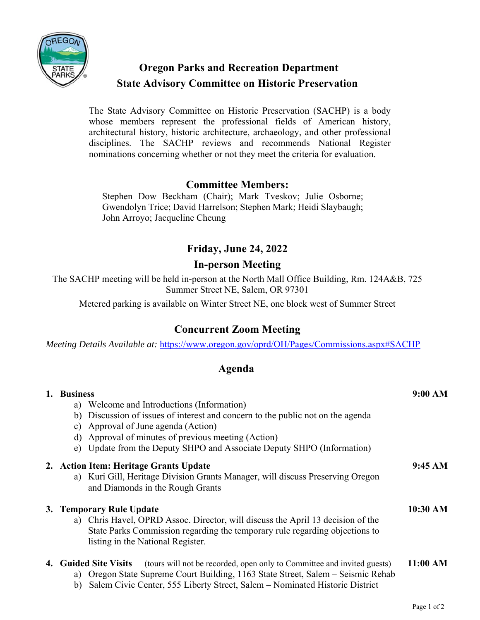

# **Oregon Parks and Recreation Department State Advisory Committee on Historic Preservation**

The State Advisory Committee on Historic Preservation (SACHP) is a body whose members represent the professional fields of American history, architectural history, historic architecture, archaeology, and other professional disciplines. The SACHP reviews and recommends National Register nominations concerning whether or not they meet the criteria for evaluation.

### **Committee Members:**

Stephen Dow Beckham (Chair); Mark Tveskov; Julie Osborne; Gwendolyn Trice; David Harrelson; Stephen Mark; Heidi Slaybaugh; John Arroyo; Jacqueline Cheung

## **Friday, June 24, 2022**

### **In-person Meeting**

The SACHP meeting will be held in-person at the North Mall Office Building, Rm. 124A&B, 725 Summer Street NE, Salem, OR 97301

Metered parking is available on Winter Street NE, one block west of Summer Street

### **Concurrent Zoom Meeting**

*Meeting Details Available at:* https://www.oregon.gov/oprd/OH/Pages/Commissions.aspx#SACHP

#### **Agenda**

| 1. | <b>Business</b>                                                                                                                                                                                                                                                           | 9:00 AM  |
|----|---------------------------------------------------------------------------------------------------------------------------------------------------------------------------------------------------------------------------------------------------------------------------|----------|
|    | a) Welcome and Introductions (Information)                                                                                                                                                                                                                                |          |
|    | Discussion of issues of interest and concern to the public not on the agenda<br>b)                                                                                                                                                                                        |          |
|    | Approval of June agenda (Action)<br>C)                                                                                                                                                                                                                                    |          |
|    | Approval of minutes of previous meeting (Action)<br>d)                                                                                                                                                                                                                    |          |
|    | Update from the Deputy SHPO and Associate Deputy SHPO (Information)<br>e)                                                                                                                                                                                                 |          |
|    | 2. Action Item: Heritage Grants Update<br>a) Kuri Gill, Heritage Division Grants Manager, will discuss Preserving Oregon<br>and Diamonds in the Rough Grants                                                                                                              | 9:45 AM  |
|    | 3. Temporary Rule Update                                                                                                                                                                                                                                                  | 10:30 AM |
|    | a) Chris Havel, OPRD Assoc. Director, will discuss the April 13 decision of the<br>State Parks Commission regarding the temporary rule regarding objections to<br>listing in the National Register.                                                                       |          |
|    | 4. Guided Site Visits<br>(tours will not be recorded, open only to Committee and invited guests)<br>a) Oregon State Supreme Court Building, 1163 State Street, Salem – Seismic Rehab<br>Salem Civic Center, 555 Liberty Street, Salem – Nominated Historic District<br>b) | 11:00 AM |